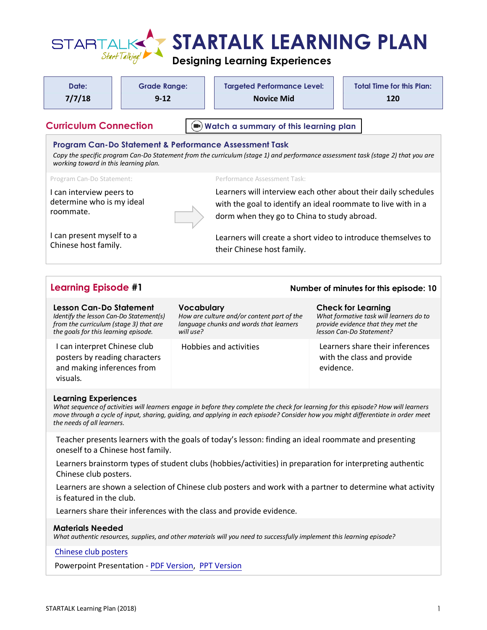

# **Designing Learning Experiences**

| Date:<br>7/7/18                                                                                                                                                                            | <b>Grade Range:</b><br>$9 - 12$ |                         | <b>Targeted Performance Level:</b><br><b>Novice Mid</b>                                                                                                                                                                                                                  |           | <b>Total Time for this Plan:</b><br>120                                                                                                |
|--------------------------------------------------------------------------------------------------------------------------------------------------------------------------------------------|---------------------------------|-------------------------|--------------------------------------------------------------------------------------------------------------------------------------------------------------------------------------------------------------------------------------------------------------------------|-----------|----------------------------------------------------------------------------------------------------------------------------------------|
| <b>Curriculum Connection</b>                                                                                                                                                               |                                 |                         | Watch a summary of this learning plan                                                                                                                                                                                                                                    |           |                                                                                                                                        |
| working toward in this learning plan.                                                                                                                                                      |                                 |                         | Program Can-Do Statement & Performance Assessment Task<br>Copy the specific program Can-Do Statement from the curriculum (stage 1) and performance assessment task (stage 2) that you are                                                                                |           |                                                                                                                                        |
| Program Can-Do Statement:                                                                                                                                                                  |                                 |                         | Performance Assessment Task:                                                                                                                                                                                                                                             |           |                                                                                                                                        |
| I can interview peers to<br>determine who is my ideal<br>roommate.                                                                                                                         |                                 |                         | Learners will interview each other about their daily schedules<br>with the goal to identify an ideal roommate to live with in a<br>dorm when they go to China to study abroad.                                                                                           |           |                                                                                                                                        |
| I can present myself to a<br>Chinese host family.                                                                                                                                          |                                 |                         | Learners will create a short video to introduce themselves to<br>their Chinese host family.                                                                                                                                                                              |           |                                                                                                                                        |
|                                                                                                                                                                                            |                                 |                         |                                                                                                                                                                                                                                                                          |           | Number of minutes for this episode: 10                                                                                                 |
| <b>Learning Episode #1</b>                                                                                                                                                                 |                                 |                         |                                                                                                                                                                                                                                                                          |           |                                                                                                                                        |
| Lesson Can-Do Statement<br>from the curriculum (stage 3) that are                                                                                                                          |                                 | Vocabulary<br>will use? | How are culture and/or content part of the<br>language chunks and words that learners                                                                                                                                                                                    |           | <b>Check for Learning</b><br>What formative task will learners do to<br>provide evidence that they met the<br>lesson Can-Do Statement? |
| Identify the lesson Can-Do Statement(s)<br>the goals for this learning episode.<br>I can interpret Chinese club<br>posters by reading characters<br>and making inferences from<br>visuals. |                                 |                         | <b>Hobbies and activities</b>                                                                                                                                                                                                                                            | evidence. | Learners share their inferences<br>with the class and provide                                                                          |
| <b>Learning Experiences</b><br>the needs of all learners.                                                                                                                                  |                                 |                         | What sequence of activities will learners engage in before they complete the check for learning for this episode? How will learners<br>move through a cycle of input, sharing, guiding, and applying in each episode? Consider how you might differentiate in order meet |           |                                                                                                                                        |

Learners brainstorm types of student clubs (hobbies/activities) in preparation for interpreting authentic Chinese club posters.

Learners are shown a selection of Chinese club posters and work with a partner to determine what activity is featured in the club.

Learners share their inferences with the class and provide evidence.

## **Materials Needed**

*What authentic resources, supplies, and other materials will you need to successfully implement this learning episode?*

## [Chinese club posters](https://startalk.umd.edu/public/system/files/resources/kent_chinese1_chineseclubposters.pdf)

Powerpoint Presentation - [PDF Version,](https://startalk.umd.edu/public/system/files/resources/kent_chinese1_roomate.pdf) [PPT Version](https://startalk.umd.edu/public/system/files/resources/kent_chinese1_roomate.pptx)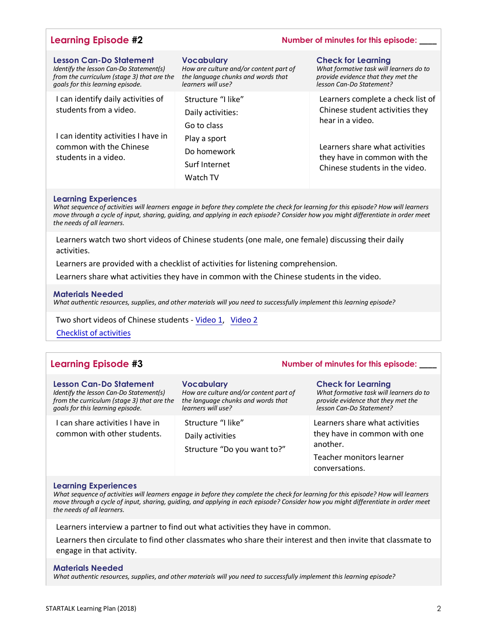## **Learning Episode #2 Number of minutes for this episode: \_\_\_\_**

| <b>Lesson Can-Do Statement</b><br>Identify the lesson Can-Do Statement(s)<br>from the curriculum (stage 3) that are the<br>goals for this learning episode. | <b>Vocabulary</b><br>How are culture and/or content part of<br>the language chunks and words that<br>learners will use? | <b>Check for Learning</b><br>What formative task will learners do to<br>provide evidence that they met the<br>lesson Can-Do Statement? |
|-------------------------------------------------------------------------------------------------------------------------------------------------------------|-------------------------------------------------------------------------------------------------------------------------|----------------------------------------------------------------------------------------------------------------------------------------|
| I can identify daily activities of<br>students from a video.                                                                                                | Structure "I like"<br>Daily activities:<br>Go to class                                                                  | Learners complete a check list of<br>Chinese student activities they<br>hear in a video.                                               |
| I can identity activities I have in<br>common with the Chinese<br>students in a video.                                                                      | Play a sport<br>Do homework<br>Surf Internet<br>Watch TV                                                                | Learners share what activities<br>they have in common with the<br>Chinese students in the video.                                       |

#### **Learning Experiences**

*What sequence of activities will learners engage in before they complete the check for learning for this episode? How will learners move through a cycle of input, sharing, guiding, and applying in each episode? Consider how you might differentiate in order meet the needs of all learners.*

Learners watch two short videos of Chinese students (one male, one female) discussing their daily activities.

Learners are provided with a checklist of activities for listening comprehension.

Learners share what activities they have in common with the Chinese students in the video.

#### **Materials Needed**

*What authentic resources, supplies, and other materials will you need to successfully implement this learning episode?*

Two short videos of Chinese students [- Video 1,](https://www.youtube.com/watch?v=S2IdUmDgSA4&list=PLiP6ZaZKt1mB7JYmngeBMZ9RjLXvMmn6J&index=11) [Video 2](https://www.youtube.com/watch?v=uGB1hDbmmT0&list=PLiP6ZaZKt1mB7JYmngeBMZ9RjLXvMmn6J&index=10)

[Checklist of activities](https://startalk.umd.edu/public/system/files/resources/kent_chinese1_videochecklists.pdf) 

## **Learning Episode #3 Number of minutes for this episode: \_\_\_\_**

| <b>Lesson Can-Do Statement</b>                                  | <b>Vocabulary</b>                                                     | <b>Check for Learning</b>                                                                                                |
|-----------------------------------------------------------------|-----------------------------------------------------------------------|--------------------------------------------------------------------------------------------------------------------------|
| Identify the lesson Can-Do Statement(s)                         | How are culture and/or content part of                                | What formative task will learners do to                                                                                  |
| from the curriculum (stage 3) that are the                      | the language chunks and words that                                    | provide evidence that they met the                                                                                       |
| goals for this learning episode.                                | learners will use?                                                    | lesson Can-Do Statement?                                                                                                 |
| I can share activities I have in<br>common with other students. | Structure "I like"<br>Daily activities<br>Structure "Do you want to?" | Learners share what activities<br>they have in common with one<br>another.<br>Teacher monitors learner<br>conversations. |

#### **Learning Experiences**

*What sequence of activities will learners engage in before they complete the check for learning for this episode? How will learners move through a cycle of input, sharing, guiding, and applying in each episode? Consider how you might differentiate in order meet the needs of all learners.*

Learners interview a partner to find out what activities they have in common.

Learners then circulate to find other classmates who share their interest and then invite that classmate to engage in that activity.

#### **Materials Needed**

*What authentic resources, supplies, and other materials will you need to successfully implement this learning episode?*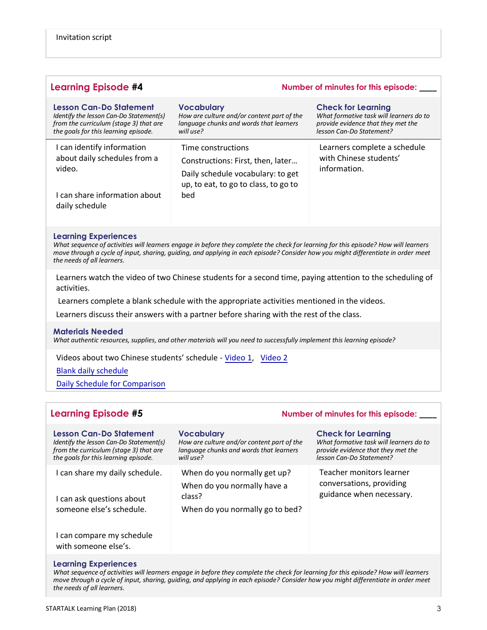| <b>Learning Episode #4</b>                                                                                                                           | Number of minutes for this episode:                                                                                                         |                                                                                                                                        |  |
|------------------------------------------------------------------------------------------------------------------------------------------------------|---------------------------------------------------------------------------------------------------------------------------------------------|----------------------------------------------------------------------------------------------------------------------------------------|--|
| Lesson Can-Do Statement<br>Identify the lesson Can-Do Statement(s)<br>from the curriculum (stage 3) that are<br>the goals for this learning episode. | <b>Vocabulary</b><br>How are culture and/or content part of the<br>language chunks and words that learners<br>will use?                     | <b>Check for Learning</b><br>What formative task will learners do to<br>provide evidence that they met the<br>lesson Can-Do Statement? |  |
| I can identify information<br>about daily schedules from a<br>video.<br>can share information about<br>daily schedule                                | Time constructions<br>Constructions: First, then, later<br>Daily schedule vocabulary: to get<br>up, to eat, to go to class, to go to<br>bed | Learners complete a schedule<br>with Chinese students'<br>information.                                                                 |  |

#### **Learning Experiences**

*What sequence of activities will learners engage in before they complete the check for learning for this episode? How will learners move through a cycle of input, sharing, guiding, and applying in each episode? Consider how you might differentiate in order meet the needs of all learners.*

Learners watch the video of two Chinese students for a second time, paying attention to the scheduling of activities.

Learners complete a blank schedule with the appropriate activities mentioned in the videos.

Learners discuss their answers with a partner before sharing with the rest of the class.

#### **Materials Needed**

*What authentic resources, supplies, and other materials will you need to successfully implement this learning episode?*

Videos about two Chinese students' schedule [- Video 1,](https://www.youtube.com/watch?v=tVVW-tZZ91w&list=PLiP6ZaZKt1mB7JYmngeBMZ9RjLXvMmn6J&index=12) [Video 2](https://www.youtube.com/watch?v=R6hDOk5WcIg&list=PLiP6ZaZKt1mB7JYmngeBMZ9RjLXvMmn6J&index=13)

[Blank daily schedule](https://startalk.umd.edu/public/system/files/docs/kent_chinese1_blankschedules.pdf) 

[Daily Schedule for Comparison](https://startalk.umd.edu/public/system/files/resources/kent_chinese1_dailyschedulecomparison.pdf)

## **Learning Episode #5 Number of minutes for this episode: \_\_\_\_**

| Lesson Can-Do Statement<br>Identify the lesson Can-Do Statement(s)<br>from the curriculum (stage 3) that are<br>the goals for this learning episode. | <b>Vocabulary</b><br>How are culture and/or content part of the<br>language chunks and words that learners<br>will use? | <b>Check for Learning</b><br>What formative task will learners do to<br>provide evidence that they met the<br>lesson Can-Do Statement? |
|------------------------------------------------------------------------------------------------------------------------------------------------------|-------------------------------------------------------------------------------------------------------------------------|----------------------------------------------------------------------------------------------------------------------------------------|
| I can share my daily schedule.<br>I can ask questions about<br>someone else's schedule.                                                              | When do you normally get up?<br>When do you normally have a<br>class?<br>When do you normally go to bed?                | Teacher monitors learner<br>conversations, providing<br>guidance when necessary.                                                       |
| I can compare my schedule<br>with someone else's.                                                                                                    |                                                                                                                         |                                                                                                                                        |

#### **Learning Experiences**

*What sequence of activities will learners engage in before they complete the check for learning for this episode? How will learners move through a cycle of input, sharing, guiding, and applying in each episode? Consider how you might differentiate in order meet the needs of all learners.*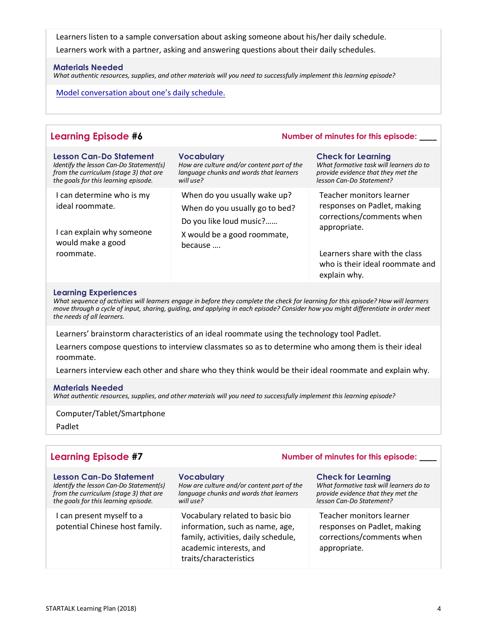Learners listen to a sample conversation about asking someone about his/her daily schedule. Learners work with a partner, asking and answering questions about their daily schedules.

### **Materials Needed**

*What authentic resources, supplies, and other materials will you need to successfully implement this learning episode?*

[Model conversation about one's daily sch](https://youtu.be/xnUgASRqvCg)edule.

| <b>Learning Episode #6</b>                                                                                                                                  | Number of minutes for this episode:                                                                                      |                                                                                                                                        |
|-------------------------------------------------------------------------------------------------------------------------------------------------------------|--------------------------------------------------------------------------------------------------------------------------|----------------------------------------------------------------------------------------------------------------------------------------|
| <b>Lesson Can-Do Statement</b><br>Identify the lesson Can-Do Statement(s)<br>from the curriculum (stage 3) that are<br>the goals for this learning episode. | <b>Vocabulary</b><br>How are culture and/or content part of the<br>language chunks and words that learners<br>will use?  | <b>Check for Learning</b><br>What formative task will learners do to<br>provide evidence that they met the<br>lesson Can-Do Statement? |
| I can determine who is my<br>ideal roommate.<br>I can explain why someone                                                                                   | When do you usually wake up?<br>When do you usually go to bed?<br>Do you like loud music?<br>X would be a good roommate, | Teacher monitors learner<br>responses on Padlet, making<br>corrections/comments when<br>appropriate.                                   |
| would make a good<br>roommate.                                                                                                                              | because                                                                                                                  | Learners share with the class<br>who is their ideal roommate and                                                                       |

#### **Learning Experiences**

*What sequence of activities will learners engage in before they complete the check for learning for this episode? How will learners move through a cycle of input, sharing, guiding, and applying in each episode? Consider how you might differentiate in order meet the needs of all learners.*

explain why.

Learners' brainstorm characteristics of an ideal roommate using the technology tool Padlet.

Learners compose questions to interview classmates so as to determine who among them is their ideal roommate.

Learners interview each other and share who they think would be their ideal roommate and explain why.

#### **Materials Needed**

*What authentic resources, supplies, and other materials will you need to successfully implement this learning episode?*

Computer/Tablet/Smartphone

Padlet

| <b>Learning Episode #7</b>                                                                                                                                  | Number of minutes for this episode:                                                                                                                            |                                                                                                                                        |
|-------------------------------------------------------------------------------------------------------------------------------------------------------------|----------------------------------------------------------------------------------------------------------------------------------------------------------------|----------------------------------------------------------------------------------------------------------------------------------------|
| <b>Lesson Can-Do Statement</b><br>Identify the lesson Can-Do Statement(s)<br>from the curriculum (stage 3) that are<br>the goals for this learning episode. | <b>Vocabulary</b><br>How are culture and/or content part of the<br>language chunks and words that learners<br>will use?                                        | <b>Check for Learning</b><br>What formative task will learners do to<br>provide evidence that they met the<br>lesson Can-Do Statement? |
| I can present myself to a<br>potential Chinese host family.                                                                                                 | Vocabulary related to basic bio<br>information, such as name, age,<br>family, activities, daily schedule,<br>academic interests, and<br>traits/characteristics | Teacher monitors learner<br>responses on Padlet, making<br>corrections/comments when<br>appropriate.                                   |